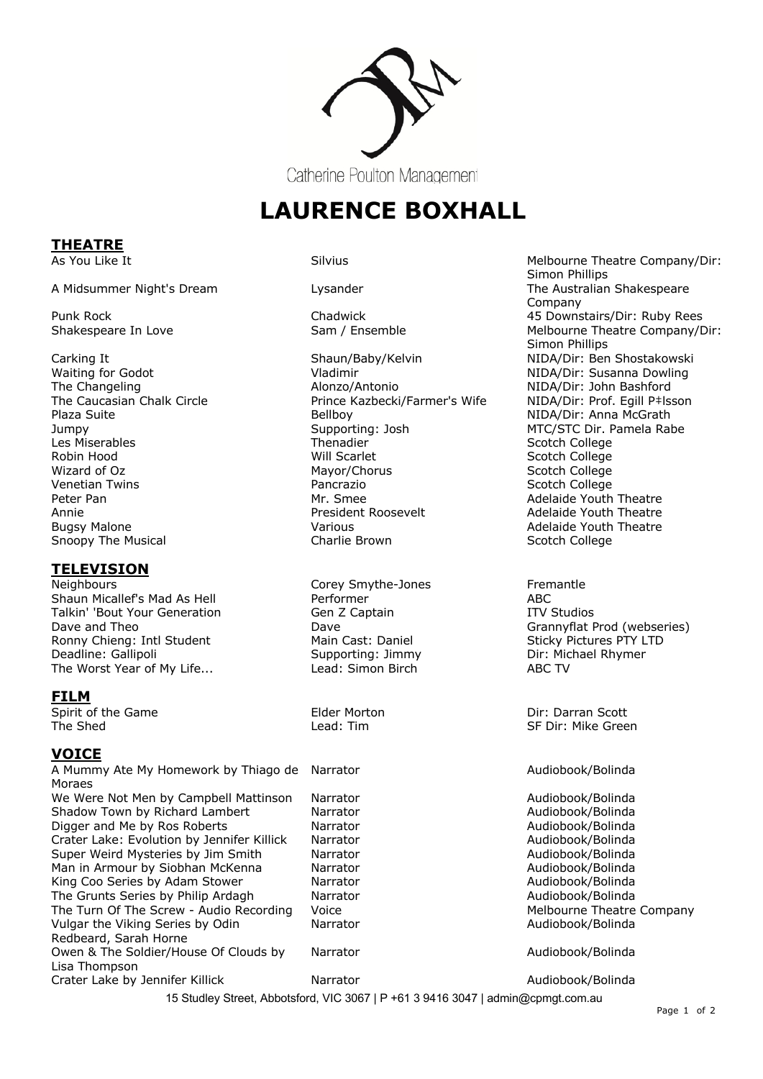

**LAURENCE BOXHALL** 

**THEATRE**

Snoopy The Musical

# **TELEVISION**<br>Neighbours

Shaun Micallef's Mad As Hell **Performer** Performer ABC<br>Talkin' 'Bout Your Generation ABC Gen Z Captain ABC Talkin' 'Bout Your Generation Gen Z Captain Talkin' 'Bout Your Generation Gen Z Captain ITV Studios<br>
Dave and Theo Grannyflat I Ronny Chieng: Intl Student Main Cast: Daniel Sticky Pictures PTY LTD Deadline: Gallipoli Supporting: Jimmy Dir: Michael Rhymer Dir: Michael Rhymer<br>The Worst Year of My Life... Supporting: Simon Birch ABC TV The Worst Year of My Life... Lead: Simon Birch

## **FILM**

Spirit of the Game<br>
The Shed<br>
The Shed<br>
The Shed<br>
The Shed<br>
The Shed<br>
The Shed<br>
SF Dir: Mike Gree

## **VOICE**

15 Studley Street, Abbotsford, VIC 3067 | P +61 3 9416 3047 | admin@cpmgt.com.au A Mummy Ate My Homework by Thiago de Moraes We Were Not Men by Campbell Mattinson Narrator Audiobook/Bolinda Shadow Town by Richard Lambert Narrator Narrator Audiobook/Bolinda Digger and Me by Ros Roberts **Narrator** Narrator **National Crates Audiobook/Bolinda**<br>Crater Lake: Evolution by Jennifer Killick Narrator **National Audiobook/Audiobook/Bolinda** Crater Lake: Evolution by Jennifer Killick Narrator Super Weird Mysteries by Jim Smith Narrator Marrator Audiobook/Bolinda Man in Armour by Siobhan McKenna (Narrator Narrator Audiobook/Bolinda Audiobook/Bolinda<br>
Narrator Audiobook/Bolinda (Narrator Audiobook/Bolinda Audiobook/Bolinda King Coo Series by Adam Stower The Grunts Series by Philip Ardagh Marrator Marrator Audiobook/Bolinda<br>
The Turn Of The Screw - Audio Recording Voice Melbourne Theatre Company The Turn Of The Screw - Audio Recording Voice Vulgar the Viking Series by Odin Redbeard, Sarah Horne Owen & The Soldier/House Of Clouds by Lisa Thompson Crater Lake by Jennifer Killick Narrator Narrator Audiobook/Bolinda

Waiting for Godot **NIDA/Dir: Susanna Dowling**<br>The Changeling **NIDA/Dir: Susanna Dowling**<br>NIDA/Dir: John Bashford The Changeling and Circle in the Changeling Alonzo/Antonio and Changeling and Changeling and Changeling Alonzo<br>The Caucasian Chalk Circle and Circle Prince Kazbecki/Farmer's Wife and NIDA/Dir: Prof. Egill P‡lsson Prince Kazbecki/Farmer's Wife Plaza Suite Bellboy NIDA/Dir: Anna McGrath Jumpy Supporting: Josh MTC/STC Dir. Pamela Rabe Les Miserables Thenadier Scotch College Robin Hood **No. 2018 Will Scarlet Scotch College** Scotch College Wizard of Oz **Mayor/Chorus** Mayor/Chorus Scotch College Venetian Twins Pancrazio Scotch College Mr. Smee<br>
President Roosevelt<br>
Adelaide Youth Theatre Annie **Annie Ernestigense Adelaide Youth Theatre** President Roosevelt **Adelaide Youth Theatre** Bugsy Malone Various Adelaide Youth Theatre

Corey Smythe-Jones Fremantle

As You Like It **Melbourne Theatre Company/Dir:** Silvius Melbourne Theatre Company/Dir: Simon Phillips A Midsummer Night's Dream The Australian Shakespeare Changes and Lysander The Australian Shakespeare Company Punk Rock Chadwick 45 Downstairs/Dir: Ruby Rees Shakespeare In Love Sam / Ensemble Melbourne Theatre Company/Dir: Simon Phillips Carking It Shaun/Baby/Kelvin NIDA/Dir: Ben Shostakowski Shaun/Baby/Kelvin NIDA/Dir: Ben Shostakowski<br>
Vladimir NiDA/Dir: Susanna Dowling

Dave **Dave Accord Contract Contract Contract Contract Contract Contract Contract Contract Contract Contract Contract Contract Contract Contract Contract Contract Contract Contract Contract Contract Contract Contract Contra** 

SF Dir: Mike Green

#### Audiobook/Bolinda

Narrator **Audiobook/Bolinda** 

Narrator **Audiobook/Bolinda** 

Page 1 of 2